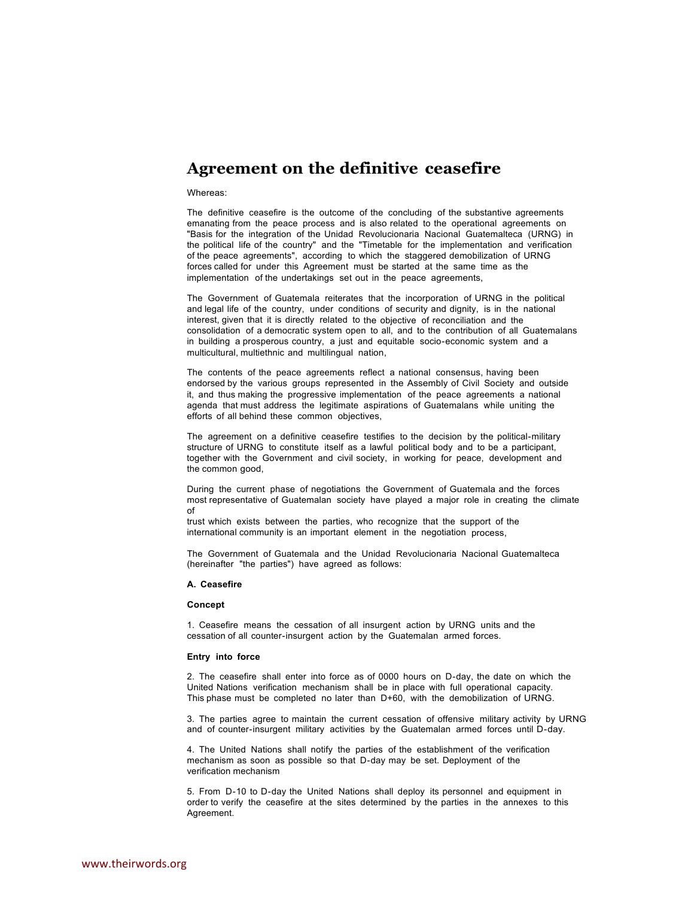# **Agreement on the definitive ceasefire**

## Whereas:

The definitive ceasefire is the outcome of the concluding of the substantive agreements emanating from the peace process and is also related to the operational agreements on "Basis for the integration of the Unidad Revolucionaria Nacional Guatemalteca (URNG) in the political life of the country" and the "Timetable for the implementation and verification of the peace agreements", according to which the staggered demobilization of URNG forces called for under this Agreement must be started at the same time as the implementation of the undertakings set out in the peace agreements,

The Government of Guatemala reiterates that the incorporation of URNG in the political and legal life of the country, under conditions of security and dignity, is in the national interest, given that it is directly related to the objective of reconciliation and the consolidation of a democratic system open to all, and to the contribution of all Guatemalans in building a prosperous country, a just and equitable socio-economic system and a multicultural, multiethnic and multilingual nation,

The contents of the peace agreements reflect a national consensus, having been endorsed by the various groups represented in the Assembly of Civil Society and outside it, and thus making the progressive implementation of the peace agreements a national agenda that must address the legitimate aspirations of Guatemalans while uniting the efforts of all behind these common objectives,

The agreement on a definitive ceasefire testifies to the decision by the political-military structure of URNG to constitute itself as a lawful political body and to be a participant, together with the Government and civil society, in working for peace, development and the common good,

During the current phase of negotiations the Government of Guatemala and the forces most representative of Guatemalan society have played a major role in creating the climate of

trust which exists between the parties, who recognize that the support of the international community is an important element in the negotiation process,

The Government of Guatemala and the Unidad Revolucionaria Nacional Guatemalteca (hereinafter "the parties") have agreed as follows:

#### **A. Ceasefire**

## **Concept**

1. Ceasefire means the cessation of all insurgent action by URNG units and the cessation of all counter-insurgent action by the Guatemalan armed forces.

## **Entry into force**

2. The ceasefire shall enter into force as of 0000 hours on D-day, the date on which the United Nations verification mechanism shall be in place with full operational capacity. This phase must be completed no later than D+60, with the demobilization of URNG.

3. The parties agree to maintain the current cessation of offensive military activity by URNG and of counter-insurgent military activities by the Guatemalan armed forces until D-day.

4. The United Nations shall notify the parties of the establishment of the verification mechanism as soon as possible so that D-day may be set. Deployment of the verification mechanism

5. From D-10 to D-day the United Nations shall deploy its personnel and equipment in order to verify the ceasefire at the sites determined by the parties in the annexes to this Agreement.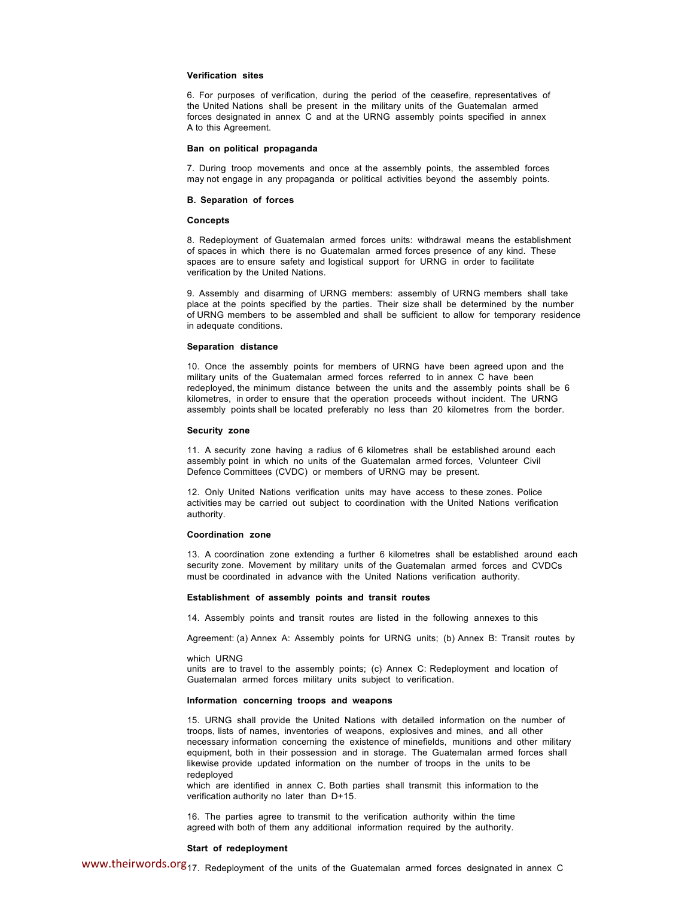#### **Verification sites**

6. For purposes of verification, during the period of the ceasefire, representatives of the United Nations shall be present in the military units of the Guatemalan armed forces designated in annex C and at the URNG assembly points specified in annex A to this Agreement.

### **Ban on political propaganda**

7. During troop movements and once at the assembly points, the assembled forces may not engage in any propaganda or political activities beyond the assembly points.

#### **B. Separation of forces**

#### **Concepts**

8. Redeployment of Guatemalan armed forces units: withdrawal means the establishment of spaces in which there is no Guatemalan armed forces presence of any kind. These spaces are to ensure safety and logistical support for URNG in order to facilitate verification by the United Nations.

9. Assembly and disarming of URNG members: assembly of URNG members shall take place at the points specified by the parties. Their size shall be determined by the number of URNG members to be assembled and shall be sufficient to allow for temporary residence in adequate conditions.

#### **Separation distance**

10. Once the assembly points for members of URNG have been agreed upon and the military units of the Guatemalan armed forces referred to in annex C have been redeployed, the minimum distance between the units and the assembly points shall be 6 kilometres, in order to ensure that the operation proceeds without incident. The URNG assembly points shall be located preferably no less than 20 kilometres from the border.

#### **Security zone**

11. A security zone having a radius of 6 kilometres shall be established around each assembly point in which no units of the Guatemalan armed forces, Volunteer Civil Defence Committees (CVDC) or members of URNG may be present.

12. Only United Nations verification units may have access to these zones. Police activities may be carried out subject to coordination with the United Nations verification authority.

#### **Coordination zone**

13. A coordination zone extending a further 6 kilometres shall be established around each security zone. Movement by military units of the Guatemalan armed forces and CVDCs must be coordinated in advance with the United Nations verification authority.

#### **Establishment of assembly points and transit routes**

14. Assembly points and transit routes are listed in the following annexes to this

Agreement: (a) Annex A: Assembly points for URNG units; (b) Annex B: Transit routes by

### which URNG

units are to travel to the assembly points; (c) Annex C: Redeployment and location of Guatemalan armed forces military units subject to verification.

### **Information concerning troops and weapons**

15. URNG shall provide the United Nations with detailed information on the number of troops, lists of names, inventories of weapons, explosives and mines, and all other necessary information concerning the existence of minefields, munitions and other military equipment, both in their possession and in storage. The Guatemalan armed forces shall likewise provide updated information on the number of troops in the units to be redeployed

which are identified in annex C. Both parties shall transmit this information to the verification authority no later than D+15.

16. The parties agree to transmit to the verification authority within the time agreed with both of them any additional information required by the authority.

#### **Start of redeployment**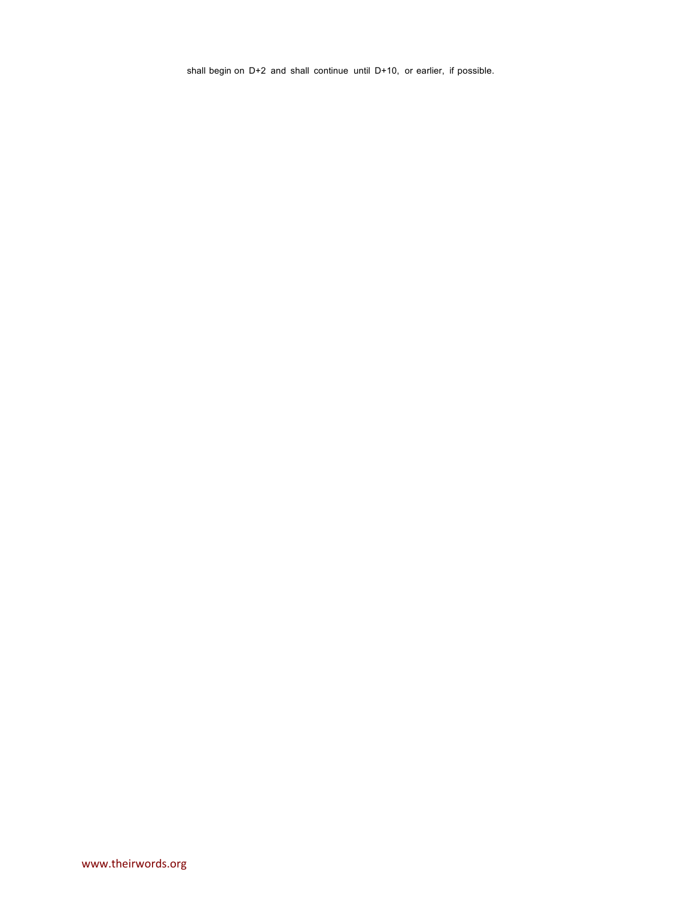shall begin on D+2 and shall continue until D+10, or earlier, if possible.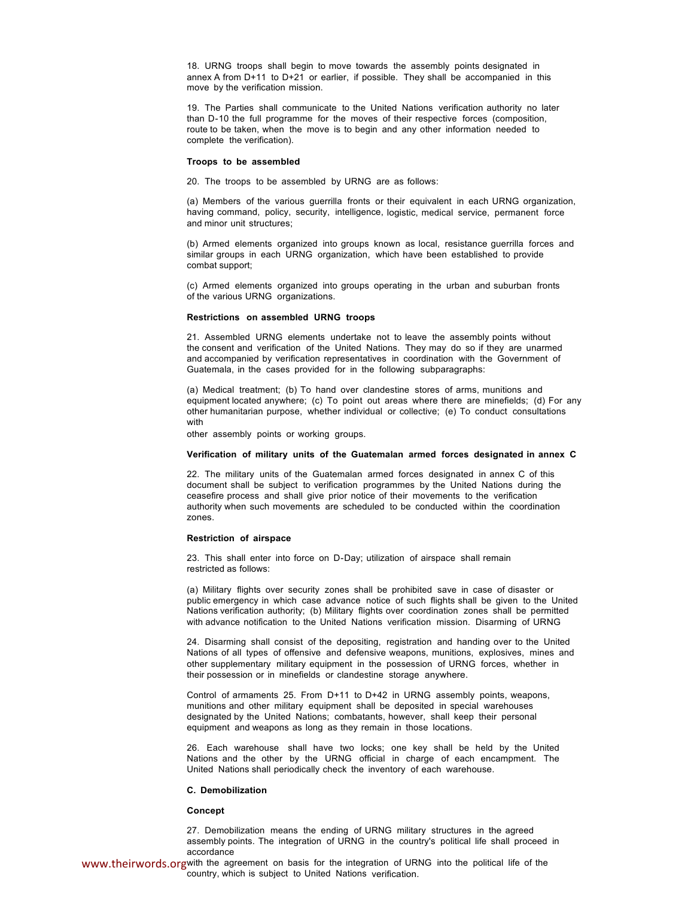18. URNG troops shall begin to move towards the assembly points designated in annex A from D+11 to D+21 or earlier, if possible. They shall be accompanied in this move by the verification mission.

19. The Parties shall communicate to the United Nations verification authority no later than D-10 the full programme for the moves of their respective forces (composition, route to be taken, when the move is to begin and any other information needed to complete the verification).

#### **Troops to be assembled**

20. The troops to be assembled by URNG are as follows:

(a) Members of the various guerrilla fronts or their equivalent in each URNG organization, having command, policy, security, intelligence, logistic, medical service, permanent force and minor unit structures;

(b) Armed elements organized into groups known as local, resistance guerrilla forces and similar groups in each URNG organization, which have been established to provide combat support;

(c) Armed elements organized into groups operating in the urban and suburban fronts of the various URNG organizations.

# **Restrictions on assembled URNG troops**

21. Assembled URNG elements undertake not to leave the assembly points without the consent and verification of the United Nations. They may do so if they are unarmed and accompanied by verification representatives in coordination with the Government of Guatemala, in the cases provided for in the following subparagraphs:

(a) Medical treatment; (b) To hand over clandestine stores of arms, munitions and equipment located anywhere; (c) To point out areas where there are minefields; (d) For any other humanitarian purpose, whether individual or collective; (e) To conduct consultations with

other assembly points or working groups.

#### **Verification of military units of the Guatemalan armed forces designated in annex C**

22. The military units of the Guatemalan armed forces designated in annex C of this document shall be subject to verification programmes by the United Nations during the ceasefire process and shall give prior notice of their movements to the verification authority when such movements are scheduled to be conducted within the coordination zones.

## **Restriction of airspace**

23. This shall enter into force on D-Day; utilization of airspace shall remain restricted as follows:

(a) Military flights over security zones shall be prohibited save in case of disaster or public emergency in which case advance notice of such flights shall be given to the United Nations verification authority; (b) Military flights over coordination zones shall be permitted with advance notification to the United Nations verification mission. Disarming of URNG

24. Disarming shall consist of the depositing, registration and handing over to the United Nations of all types of offensive and defensive weapons, munitions, explosives, mines and other supplementary military equipment in the possession of URNG forces, whether in their possession or in minefields or clandestine storage anywhere.

Control of armaments 25. From D+11 to D+42 in URNG assembly points, weapons, munitions and other military equipment shall be deposited in special warehouses designated by the United Nations; combatants, however, shall keep their personal equipment and weapons as long as they remain in those locations.

26. Each warehouse shall have two locks; one key shall be held by the United Nations and the other by the URNG official in charge of each encampment. The United Nations shall periodically check the inventory of each warehouse.

## **C. Demobilization**

#### **Concept**

27. Demobilization means the ending of URNG military structures in the agreed assembly points. The integration of URNG in the country's political life shall proceed in accordance

www.theirwords.orgwith the agreement on basis for the integration of URNG into the political life of the country, which is subject to United Nations verification.